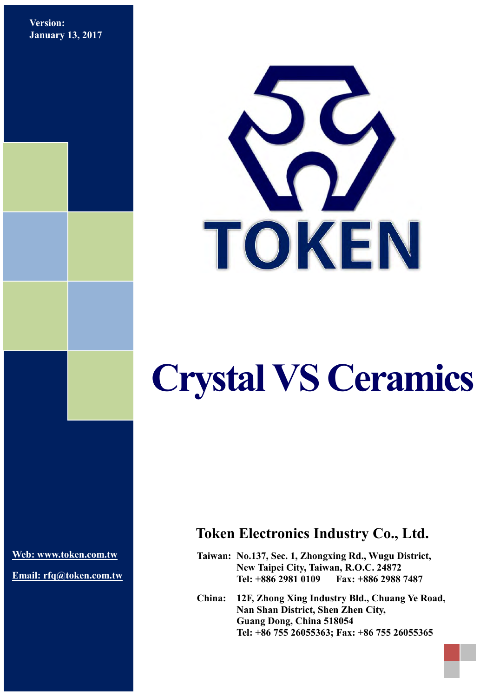**Version: January 13, 2017**



# **Crystal VS Ceramics**

**[Web: www.token.com.tw](http://www.token.com.tw/)**

**Email: rfq@token.com.tw**

## **Token Electronics Industry Co., Ltd.**

**Taiwan: No.137, Sec. 1, Zhongxing Rd., Wugu District, New Taipei City, Taiwan, R.O.C. 24872 Tel: +886 2981 0109 Fax: +886 2988 7487**

**China: 12F, Zhong Xing Industry Bld., Chuang Ye Road, Nan Shan District, Shen Zhen City, Guang Dong, China 518054 Tel: +86 755 26055363; Fax: +86 755 26055365**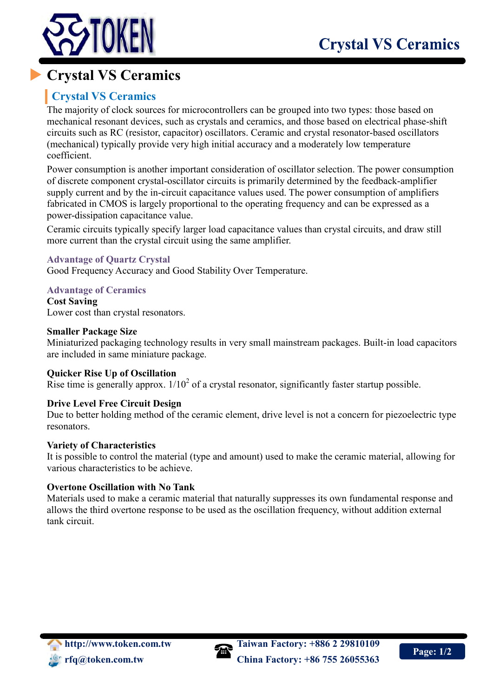

# **Crystal VS Ceramics**

### **Crystal VS Ceramics**

The majority of clock sources for microcontrollers can be grouped into two types: those based on mechanical resonant devices, such as crystals and ceramics, and those based on electrical phase-shift circuits such as RC (resistor, capacitor) oscillators. Ceramic and crystal resonator-based oscillators (mechanical) typically provide very high initial accuracy and a moderately low temperature coefficient.

Power consumption is another important consideration of oscillator selection. The power consumption of discrete component crystal-oscillator circuits is primarily determined by the feedback-amplifier supply current and by the in-circuit capacitance values used. The power consumption of amplifiers fabricated in CMOS is largely proportional to the operating frequency and can be expressed as a power-dissipation capacitance value.

Ceramic circuits typically specify larger load capacitance values than crystal circuits, and draw still more current than the crystal circuit using the same amplifier.

#### **Advantage of Quartz Crystal**

Good Frequency Accuracy and Good Stability Over Temperature.

**Advantage of Ceramics**

**Cost Saving** Lower cost than crystal resonators.

#### **Smaller Package Size**

Miniaturized packaging technology results in very small mainstream packages. Built-in load capacitors are included in same miniature package.

#### **Quicker Rise Up of Oscillation**

Rise time is generally approx.  $1/10^2$  of a crystal resonator, significantly faster startup possible.

#### **Drive Level Free Circuit Design**

Due to better holding method of the ceramic element, drive level is not a concern for piezoelectric type resonators.

#### **Variety of Characteristics**

It is possible to control the material (type and amount) used to make the ceramic material, allowing for various characteristics to be achieve.

#### **Overtone Oscillation with No Tank**

Materials used to make a ceramic material that naturally suppresses its own fundamental response and allows the third overtone response to be used as the oscillation frequency, without addition external tank circuit.